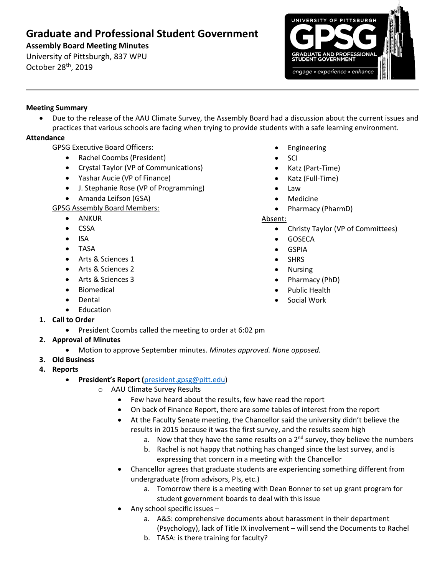# **Graduate and Professional Student Government**

**Assembly Board Meeting Minutes**

University of Pittsburgh, 837 WPU October 28<sup>th</sup>, 2019



## **Meeting Summary**

• Due to the release of the AAU Climate Survey, the Assembly Board had a discussion about the current issues and practices that various schools are facing when trying to provide students with a safe learning environment.

# **Attendance**

# GPSG Executive Board Officers:

- Rachel Coombs (President)
- Crystal Taylor (VP of Communications)
- Yashar Aucie (VP of Finance)
- J. Stephanie Rose (VP of Programming)
- Amanda Leifson (GSA)

# GPSG Assembly Board Members:

- ANKUR
- CSSA
- ISA
- TASA
- Arts & Sciences 1
- Arts & Sciences 2
- Arts & Sciences 3
- Biomedical
- Dental
- Education
- **1. Call to Order**
	- President Coombs called the meeting to order at 6:02 pm
- **2. Approval of Minutes** 
	- Motion to approve September minutes. *Minutes approved. None opposed.*
- **3. Old Business**
- **4. Reports** 
	- **President's Report (**[president.gpsg@pitt.edu\)](mailto:president.gpsg@pitt.edu)
		- o AAU Climate Survey Results
			- Few have heard about the results, few have read the report
			- On back of Finance Report, there are some tables of interest from the report
			- At the Faculty Senate meeting, the Chancellor said the university didn't believe the results in 2015 because it was the first survey, and the results seem high
				- a. Now that they have the same results on a  $2<sup>nd</sup>$  survey, they believe the numbers
				- b. Rachel is not happy that nothing has changed since the last survey, and is expressing that concern in a meeting with the Chancellor
			- Chancellor agrees that graduate students are experiencing something different from undergraduate (from advisors, PIs, etc.)
				- a. Tomorrow there is a meeting with Dean Bonner to set up grant program for student government boards to deal with this issue
			- Any school specific issues
				- a. A&S: comprehensive documents about harassment in their department (Psychology), lack of Title IX involvement – will send the Documents to Rachel
				- b. TASA: is there training for faculty?
- Engineering
- SCI
- Katz (Part-Time)
- Katz (Full-Time)
- Law
- Medicine
- Pharmacy (PharmD)

#### Absent:

- Christy Taylor (VP of Committees)
- GOSECA
- GSPIA
- **SHRS**
- Nursing
- Pharmacy (PhD)
- Public Health
- Social Work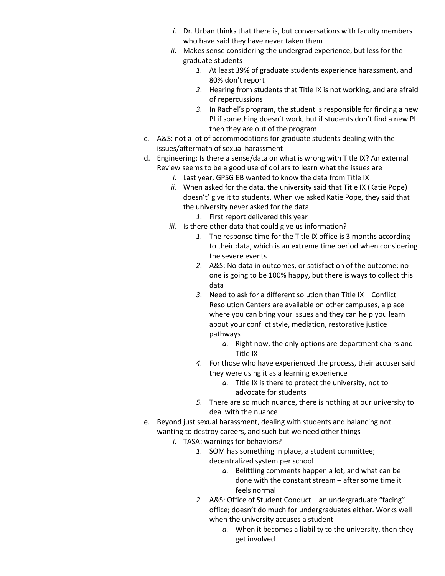- *i.* Dr. Urban thinks that there is, but conversations with faculty members who have said they have never taken them
- *ii.* Makes sense considering the undergrad experience, but less for the graduate students
	- *1.* At least 39% of graduate students experience harassment, and 80% don't report
	- *2.* Hearing from students that Title IX is not working, and are afraid of repercussions
	- *3.* In Rachel's program, the student is responsible for finding a new PI if something doesn't work, but if students don't find a new PI then they are out of the program
- c. A&S: not a lot of accommodations for graduate students dealing with the issues/aftermath of sexual harassment
- d. Engineering: Is there a sense/data on what is wrong with Title IX? An external Review seems to be a good use of dollars to learn what the issues are
	- *i.* Last year, GPSG EB wanted to know the data from Title IX
	- *ii.* When asked for the data, the university said that Title IX (Katie Pope) doesn't' give it to students. When we asked Katie Pope, they said that the university never asked for the data
		- *1.* First report delivered this year
	- *iii.* Is there other data that could give us information?
		- *1.* The response time for the Title IX office is 3 months according to their data, which is an extreme time period when considering the severe events
		- *2.* A&S: No data in outcomes, or satisfaction of the outcome; no one is going to be 100% happy, but there is ways to collect this data
		- *3.* Need to ask for a different solution than Title IX Conflict Resolution Centers are available on other campuses, a place where you can bring your issues and they can help you learn about your conflict style, mediation, restorative justice pathways
			- *a.* Right now, the only options are department chairs and Title IX
		- *4.* For those who have experienced the process, their accuser said they were using it as a learning experience
			- *a.* Title IX is there to protect the university, not to advocate for students
		- *5.* There are so much nuance, there is nothing at our university to deal with the nuance
- e. Beyond just sexual harassment, dealing with students and balancing not wanting to destroy careers, and such but we need other things
	- *i.* TASA: warnings for behaviors?
		- *1.* SOM has something in place, a student committee; decentralized system per school
			- *a.* Belittling comments happen a lot, and what can be done with the constant stream – after some time it feels normal
		- *2.* A&S: Office of Student Conduct an undergraduate "facing" office; doesn't do much for undergraduates either. Works well when the university accuses a student
			- *a.* When it becomes a liability to the university, then they get involved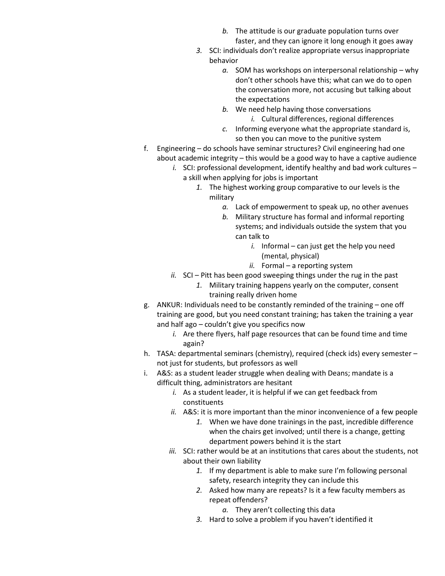- *b.* The attitude is our graduate population turns over faster, and they can ignore it long enough it goes away
- *3.* SCI: individuals don't realize appropriate versus inappropriate behavior
	- *a.* SOM has workshops on interpersonal relationship why don't other schools have this; what can we do to open the conversation more, not accusing but talking about the expectations
	- *b.* We need help having those conversations *i.* Cultural differences, regional differences
	- *c.* Informing everyone what the appropriate standard is, so then you can move to the punitive system
- f. Engineering do schools have seminar structures? Civil engineering had one about academic integrity – this would be a good way to have a captive audience
	- *i.* SCI: professional development, identify healthy and bad work cultures a skill when applying for jobs is important
		- *1.* The highest working group comparative to our levels is the military
			- *a.* Lack of empowerment to speak up, no other avenues
			- *b.* Military structure has formal and informal reporting systems; and individuals outside the system that you can talk to
				- *i.* Informal can just get the help you need (mental, physical)
				- *ii.* Formal a reporting system
	- *ii.* SCI Pitt has been good sweeping things under the rug in the past *1.* Military training happens yearly on the computer, consent training really driven home
- g. ANKUR: Individuals need to be constantly reminded of the training one off training are good, but you need constant training; has taken the training a year and half ago – couldn't give you specifics now
	- *i.* Are there flyers, half page resources that can be found time and time again?
- h. TASA: departmental seminars (chemistry), required (check ids) every semester not just for students, but professors as well
- i. A&S: as a student leader struggle when dealing with Deans; mandate is a difficult thing, administrators are hesitant
	- *i.* As a student leader, it is helpful if we can get feedback from constituents
	- *ii.* A&S: it is more important than the minor inconvenience of a few people
		- *1.* When we have done trainings in the past, incredible difference when the chairs get involved; until there is a change, getting department powers behind it is the start
	- *iii.* SCI: rather would be at an institutions that cares about the students, not about their own liability
		- *1.* If my department is able to make sure I'm following personal safety, research integrity they can include this
		- *2.* Asked how many are repeats? Is it a few faculty members as repeat offenders?
			- *a.* They aren't collecting this data
		- *3.* Hard to solve a problem if you haven't identified it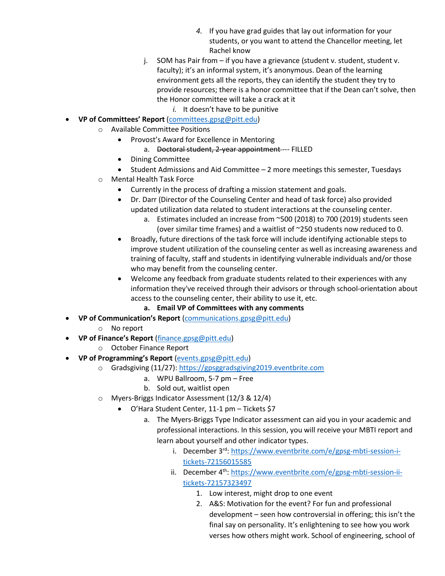- *4.* If you have grad guides that lay out information for your students, or you want to attend the Chancellor meeting, let Rachel know
- j. SOM has Pair from if you have a grievance (student v. student, student v. faculty); it's an informal system, it's anonymous. Dean of the learning environment gets all the reports, they can identify the student they try to provide resources; there is a honor committee that if the Dean can't solve, then the Honor committee will take a crack at it
	- *i.* It doesn't have to be punitive
- **VP of Committees' Report** [\(committees.gpsg@pitt.edu\)](mailto:committees.gpsg@pitt.edu)
	- o Available Committee Positions
		- Provost's Award for Excellence in Mentoring
			- a. Doctoral student, 2-year appointment --- FILLED
		- Dining Committee
		- Student Admissions and Aid Committee 2 more meetings this semester, Tuesdays
	- o Mental Health Task Force
		- Currently in the process of drafting a mission statement and goals.
		- Dr. Darr (Director of the Counseling Center and head of task force) also provided updated utilization data related to student interactions at the counseling center.
			- a. Estimates included an increase from ~500 (2018) to 700 (2019) students seen (over similar time frames) and a waitlist of ~250 students now reduced to 0.
		- Broadly, future directions of the task force will include identifying actionable steps to improve student utilization of the counseling center as well as increasing awareness and training of faculty, staff and students in identifying vulnerable individuals and/or those who may benefit from the counseling center.
		- Welcome any feedback from graduate students related to their experiences with any information they've received through their advisors or through school-orientation about access to the counseling center, their ability to use it, etc.
			- **a. Email VP of Committees with any comments**
- **VP of Communication's Report** [\(communications.gpsg@pitt.edu\)](mailto:communications.gpsg@pitt.edu)
	- o No report
- **VP of Finance's Report** [\(finance.gpsg@pitt.edu\)](mailto:finance.gpsg@pitt.edu)
	- o October Finance Report
- **VP of Programming's Report** [\(events.gpsg@pitt.edu\)](mailto:events.gpsg@pitt.edu)
	- o Gradsgiving (11/27)[: https://gpsggradsgiving2019.eventbrite.com](https://gpsggradsgiving2019.eventbrite.com/)
		- a. WPU Ballroom, 5-7 pm Free
		- b. Sold out, waitlist open
	- o Myers-Briggs Indicator Assessment (12/3 & 12/4)
		- O'Hara Student Center, 11-1 pm Tickets \$7
			- a. The Myers-Briggs Type Indicator assessment can aid you in your academic and professional interactions. In this session, you will receive your MBTI report and learn about yourself and other indicator types.
				- i. December 3rd: [https://www.eventbrite.com/e/gpsg-mbti-session-i](https://www.eventbrite.com/e/gpsg-mbti-session-i-tickets-72156015585)[tickets-72156015585](https://www.eventbrite.com/e/gpsg-mbti-session-i-tickets-72156015585)
				- ii. December 4<sup>th</sup>: [https://www.eventbrite.com/e/gpsg-mbti-session-ii](https://www.eventbrite.com/e/gpsg-mbti-session-ii-tickets-72157323497)[tickets-72157323497](https://www.eventbrite.com/e/gpsg-mbti-session-ii-tickets-72157323497)
					- 1. Low interest, might drop to one event
					- 2. A&S: Motivation for the event? For fun and professional development – seen how controversial in offering; this isn't the final say on personality. It's enlightening to see how you work verses how others might work. School of engineering, school of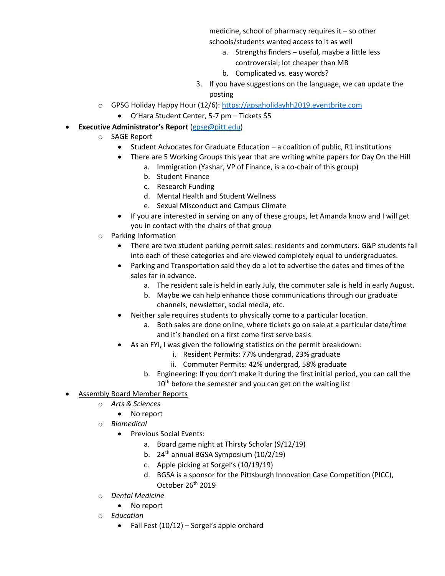medicine, school of pharmacy requires it – so other schools/students wanted access to it as well

- a. Strengths finders useful, maybe a little less controversial; lot cheaper than MB
- b. Complicated vs. easy words?
- 3. If you have suggestions on the language, we can update the posting
- o GPSG Holiday Happy Hour (12/6): [https://gpsgholidayhh2019.eventbrite.com](https://nam05.safelinks.protection.outlook.com/?url=https%3A%2F%2Fgpsgholidayhh2019.eventbrite.com&data=02%7C01%7Cgpsg%40pitt.edu%7C81e0b95f1bb846be060908d73a195dd1%7C9ef9f489e0a04eeb87cc3a526112fd0d%7C1%7C0%7C637041752932659528&sdata=PWm0cicmTZYvrDPEOCtYwj1gR%2B9OCmckaYJGSyvYYhI%3D&reserved=0)
	- O'Hara Student Center, 5-7 pm Tickets \$5
- **Executive Administrator's Report** [\(gpsg@pitt.edu\)](mailto:gpsg@pitt.edu)
	- o SAGE Report
		- Student Advocates for Graduate Education a coalition of public, R1 institutions
		- There are 5 Working Groups this year that are writing white papers for Day On the Hill
			- a. Immigration (Yashar, VP of Finance, is a co-chair of this group)
			- b. Student Finance
			- c. Research Funding
			- d. Mental Health and Student Wellness
			- e. Sexual Misconduct and Campus Climate
		- If you are interested in serving on any of these groups, let Amanda know and I will get you in contact with the chairs of that group
	- o Parking Information
		- There are two student parking permit sales: residents and commuters. G&P students fall into each of these categories and are viewed completely equal to undergraduates.
		- Parking and Transportation said they do a lot to advertise the dates and times of the sales far in advance.
			- a. The resident sale is held in early July, the commuter sale is held in early August.
			- b. Maybe we can help enhance those communications through our graduate channels, newsletter, social media, etc.
		- Neither sale requires students to physically come to a particular location.
			- a. Both sales are done online, where tickets go on sale at a particular date/time and it's handled on a first come first serve basis
		- As an FYI, I was given the following statistics on the permit breakdown:
			- i. Resident Permits: 77% undergrad, 23% graduate
			- ii. Commuter Permits: 42% undergrad, 58% graduate
			- b. Engineering: If you don't make it during the first initial period, you can call the  $10<sup>th</sup>$  before the semester and you can get on the waiting list
- Assembly Board Member Reports
	- o *Arts & Sciences*
		- No report
	- o *Biomedical*
		- Previous Social Events:
			- a. Board game night at Thirsty Scholar (9/12/19)
			- b.  $24<sup>th</sup>$  annual BGSA Symposium (10/2/19)
			- c. Apple picking at Sorgel's (10/19/19)
			- d. BGSA is a sponsor for the Pittsburgh Innovation Case Competition (PICC), October 26<sup>th</sup> 2019
	- o *Dental Medicine*
		- No report
	- o *Education*
		- Fall Fest (10/12) Sorgel's apple orchard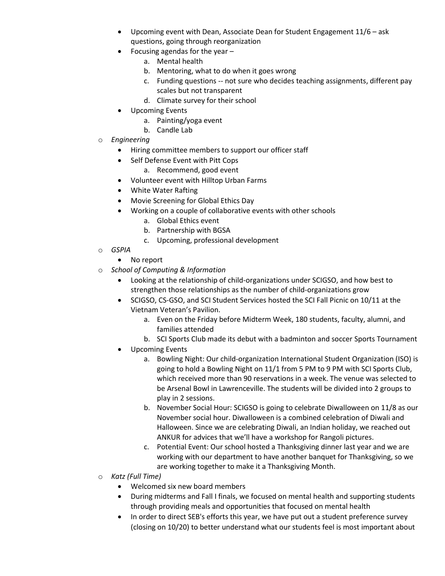- Upcoming event with Dean, Associate Dean for Student Engagement 11/6 ask questions, going through reorganization
- Focusing agendas for the year  $$ 
	- a. Mental health
	- b. Mentoring, what to do when it goes wrong
	- c. Funding questions -- not sure who decides teaching assignments, different pay scales but not transparent
	- d. Climate survey for their school
- Upcoming Events
	- a. Painting/yoga event
	- b. Candle Lab
- o *Engineering*
	- Hiring committee members to support our officer staff
	- Self Defense Event with Pitt Cops
		- a. Recommend, good event
	- Volunteer event with Hilltop Urban Farms
	- White Water Rafting
	- Movie Screening for Global Ethics Day
	- Working on a couple of collaborative events with other schools
		- a. Global Ethics event
		- b. Partnership with BGSA
		- c. Upcoming, professional development
- o *GSPIA*
	- No report
- o *School of Computing & Information*
	- Looking at the relationship of child-organizations under SCIGSO, and how best to strengthen those relationships as the number of child-organizations grow
	- SCIGSO, CS-GSO, and SCI Student Services hosted the SCI Fall Picnic on 10/11 at the Vietnam Veteran's Pavilion.
		- a. Even on the Friday before Midterm Week, 180 students, faculty, alumni, and families attended
		- b. SCI Sports Club made its debut with a badminton and soccer Sports Tournament
	- Upcoming Events
		- a. Bowling Night: Our child-organization International Student Organization (ISO) is going to hold a Bowling Night on 11/1 from 5 PM to 9 PM with SCI Sports Club, which received more than 90 reservations in a week. The venue was selected to be Arsenal Bowl in Lawrenceville. The students will be divided into 2 groups to play in 2 sessions.
		- b. November Social Hour: SCIGSO is going to celebrate Diwalloween on 11/8 as our November social hour. Diwalloween is a combined celebration of Diwali and Halloween. Since we are celebrating Diwali, an Indian holiday, we reached out ANKUR for advices that we'll have a workshop for Rangoli pictures.
		- c. Potential Event: Our school hosted a Thanksgiving dinner last year and we are working with our department to have another banquet for Thanksgiving, so we are working together to make it a Thanksgiving Month.
- o *Katz (Full Time)*
	- Welcomed six new board members
	- During midterms and Fall I finals, we focused on mental health and supporting students through providing meals and opportunities that focused on mental health
	- In order to direct SEB's efforts this year, we have put out a student preference survey (closing on 10/20) to better understand what our students feel is most important about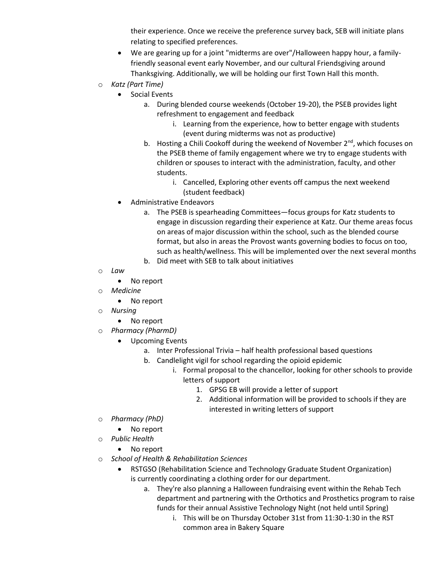their experience. Once we receive the preference survey back, SEB will initiate plans relating to specified preferences.

- We are gearing up for a joint "midterms are over"/Halloween happy hour, a familyfriendly seasonal event early November, and our cultural Friendsgiving around Thanksgiving. Additionally, we will be holding our first Town Hall this month.
- o *Katz (Part Time)*
	- Social Events
		- a. During blended course weekends (October 19-20), the PSEB provides light refreshment to engagement and feedback
			- i. Learning from the experience, how to better engage with students (event during midterms was not as productive)
		- b. Hosting a Chili Cookoff during the weekend of November 2<sup>nd</sup>, which focuses on the PSEB theme of family engagement where we try to engage students with children or spouses to interact with the administration, faculty, and other students.
			- i. Cancelled, Exploring other events off campus the next weekend (student feedback)
	- Administrative Endeavors
		- a. The PSEB is spearheading Committees—focus groups for Katz students to engage in discussion regarding their experience at Katz. Our theme areas focus on areas of major discussion within the school, such as the blended course format, but also in areas the Provost wants governing bodies to focus on too, such as health/wellness. This will be implemented over the next several months
		- b. Did meet with SEB to talk about initiatives
- o *Law*
	- No report
- o *Medicine*
	- No report
- o *Nursing* 
	- No report
- o *Pharmacy (PharmD)*
	- Upcoming Events
		- a. Inter Professional Trivia half health professional based questions
		- b. Candlelight vigil for school regarding the opioid epidemic
			- i. Formal proposal to the chancellor, looking for other schools to provide letters of support
				- 1. GPSG EB will provide a letter of support
				- 2. Additional information will be provided to schools if they are interested in writing letters of support
- o *Pharmacy (PhD)*
	- No report
- o *Public Health*
	- No report
- o *School of Health & Rehabilitation Sciences*
	- RSTGSO (Rehabilitation Science and Technology Graduate Student Organization) is currently coordinating a clothing order for our department.
		- a. They're also planning a Halloween fundraising event within the Rehab Tech department and partnering with the Orthotics and Prosthetics program to raise funds for their annual Assistive Technology Night (not held until Spring)
			- i. This will be on Thursday October 31st from 11:30-1:30 in the RST common area in Bakery Square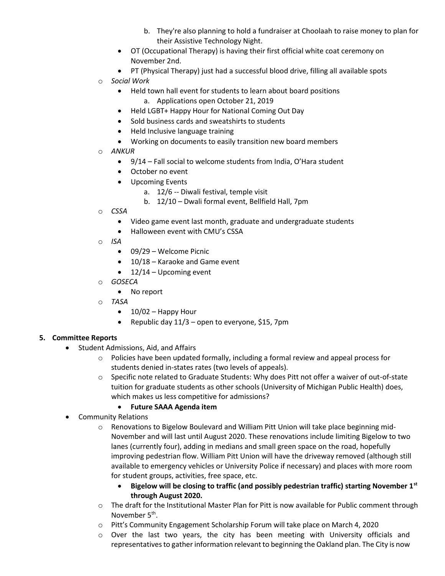- b. They're also planning to hold a fundraiser at Choolaah to raise money to plan for their Assistive Technology Night.
- OT (Occupational Therapy) is having their first official white coat ceremony on November 2nd.
- PT (Physical Therapy) just had a successful blood drive, filling all available spots
- o *Social Work*
	- Held town hall event for students to learn about board positions
		- a. Applications open October 21, 2019
	- Held LGBT+ Happy Hour for National Coming Out Day
	- Sold business cards and sweatshirts to students
	- Held Inclusive language training
	- Working on documents to easily transition new board members
- o *ANKUR* 
	- 9/14 Fall social to welcome students from India, O'Hara student
	- October no event
	- Upcoming Events
		- a. 12/6 -- Diwali festival, temple visit
		- b. 12/10 Dwali formal event, Bellfield Hall, 7pm
- o *CSSA* 
	- Video game event last month, graduate and undergraduate students
	- Halloween event with CMU's CSSA
- o *ISA* 
	- 09/29 Welcome Picnic
	- 10/18 Karaoke and Game event
	- $\bullet$  12/14 Upcoming event
- o *GOSECA*
	- No report
- o *TASA*
	- $\bullet$  10/02 Happy Hour
	- Republic day  $11/3$  open to everyone, \$15, 7pm

#### **5. Committee Reports**

- Student Admissions, Aid, and Affairs
	- o Policies have been updated formally, including a formal review and appeal process for students denied in-states rates (two levels of appeals).
	- $\circ$  Specific note related to Graduate Students: Why does Pitt not offer a waiver of out-of-state tuition for graduate students as other schools (University of Michigan Public Health) does, which makes us less competitive for admissions?

#### • **Future SAAA Agenda item**

- Community Relations
	- o Renovations to Bigelow Boulevard and William Pitt Union will take place beginning mid-November and will last until August 2020. These renovations include limiting Bigelow to two lanes (currently four), adding in medians and small green space on the road, hopefully improving pedestrian flow. William Pitt Union will have the driveway removed (although still available to emergency vehicles or University Police if necessary) and places with more room for student groups, activities, free space, etc.
		- **Bigelow will be closing to traffic (and possibly pedestrian traffic) starting November 1st through August 2020.**
	- $\circ$  The draft for the Institutional Master Plan for Pitt is now available for Public comment through November 5<sup>th</sup>.
	- o Pitt's Community Engagement Scholarship Forum will take place on March 4, 2020
	- $\circ$  Over the last two years, the city has been meeting with University officials and representatives to gather information relevant to beginning the Oakland plan. The City is now